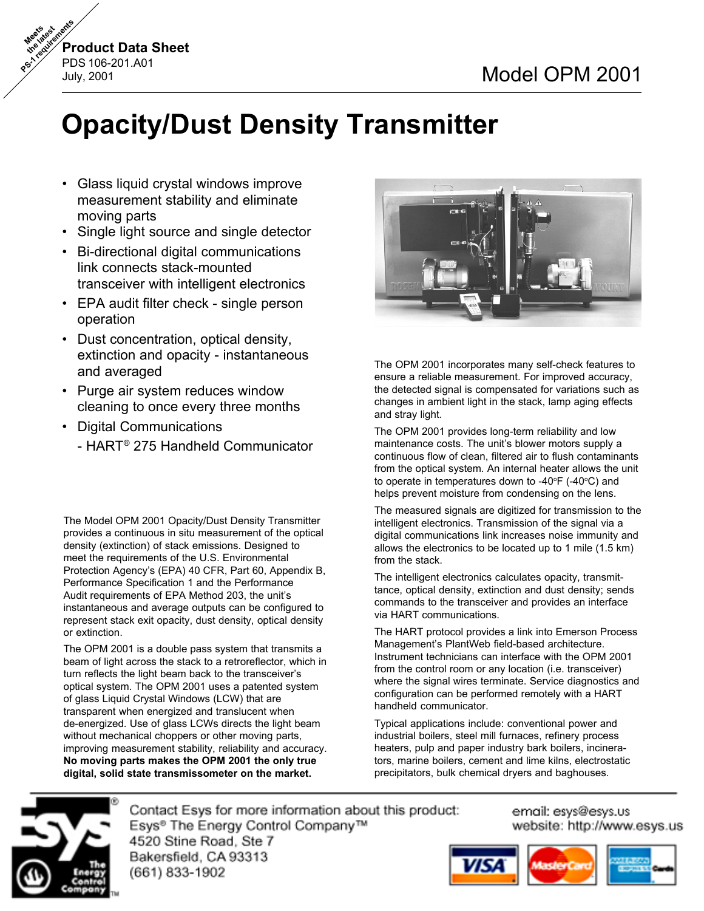

# **Opacity/Dust Density Transmitter**

- *•* Glass liquid crystal windows improve measurement stability and eliminate moving parts
- Single light source and single detector
- Bi-directional digital communications link connects stack-mounted transceiver with intelligent electronics
- EPA audit filter check single person operation
- Dust concentration, optical density, extinction and opacity - instantaneous and averaged
- Purge air system reduces window cleaning to once every three months
- Digital Communications
	- HART® 275 Handheld Communicator

The Model OPM 2001 Opacity/Dust Density Transmitter provides a continuous in situ measurement of the optical density (extinction) of stack emissions. Designed to meet the requirements of the U.S. Environmental Protection Agency's (EPA) 40 CFR, Part 60, Appendix B, Performance Specification 1 and the Performance Audit requirements of EPA Method 203, the unit's instantaneous and average outputs can be configured to represent stack exit opacity, dust density, optical density or extinction.

The OPM 2001 is a double pass system that transmits a beam of light across the stack to a retroreflector, which in turn reflects the light beam back to the transceiver's optical system. The OPM 2001 uses a patented system of glass Liquid Crystal Windows (LCW) that are transparent when energized and translucent when de-energized. Use of glass LCWs directs the light beam without mechanical choppers or other moving parts, improving measurement stability, reliability and accuracy. **No moving parts makes the OPM 2001 the only true digital, solid state transmissometer on the market.**



The OPM 2001 incorporates many self-check features to ensure a reliable measurement. For improved accuracy, the detected signal is compensated for variations such as changes in ambient light in the stack, lamp aging effects and stray light.

The OPM 2001 provides long-term reliability and low maintenance costs. The unit's blower motors supply a continuous flow of clean, filtered air to flush contaminants from the optical system. An internal heater allows the unit to operate in temperatures down to -40 $\mathrm{^{\circ}F}$  (-40 $\mathrm{^{\circ}C}$ ) and helps prevent moisture from condensing on the lens.

The measured signals are digitized for transmission to the intelligent electronics. Transmission of the signal via a digital communications link increases noise immunity and allows the electronics to be located up to 1 mile (1.5 km) from the stack.

The intelligent electronics calculates opacity, transmittance, optical density, extinction and dust density; sends commands to the transceiver and provides an interface via HART communications.

The HART protocol provides a link into Emerson Process Management's PlantWeb field-based architecture. Instrument technicians can interface with the OPM 2001 from the control room or any location (i.e. transceiver) where the signal wires terminate. Service diagnostics and configuration can be performed remotely with a HART handheld communicator.

Typical applications include: conventional power and industrial boilers, steel mill furnaces, refinery process heaters, pulp and paper industry bark boilers, incinerators, marine boilers, cement and lime kilns, electrostatic precipitators, bulk chemical dryers and baghouses.



Contact Esys for more information about this product: Esys<sup>®</sup> The Energy Control Company™ 4520 Stine Road, Ste 7 Bakersfield, CA 93313 *On-line ordering available.*

email: esys@esys.us website: http://www.esys.us

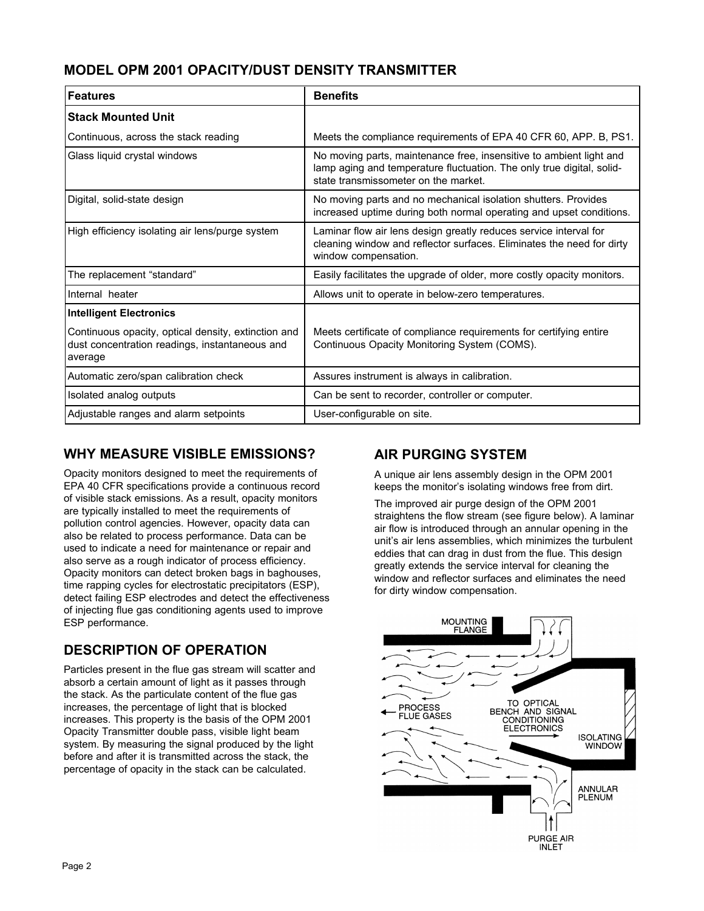#### **MODEL OPM 2001 OPACITY/DUST DENSITY TRANSMITTER**

| Features                                                                                                         | <b>Benefits</b>                                                                                                                                                                      |
|------------------------------------------------------------------------------------------------------------------|--------------------------------------------------------------------------------------------------------------------------------------------------------------------------------------|
| <b>Stack Mounted Unit</b>                                                                                        |                                                                                                                                                                                      |
| Continuous, across the stack reading                                                                             | Meets the compliance requirements of EPA 40 CFR 60, APP. B, PS1.                                                                                                                     |
| Glass liquid crystal windows                                                                                     | No moving parts, maintenance free, insensitive to ambient light and<br>lamp aging and temperature fluctuation. The only true digital, solid-<br>state transmissometer on the market. |
| Digital, solid-state design                                                                                      | No moving parts and no mechanical isolation shutters. Provides<br>increased uptime during both normal operating and upset conditions.                                                |
| High efficiency isolating air lens/purge system                                                                  | Laminar flow air lens design greatly reduces service interval for<br>cleaning window and reflector surfaces. Eliminates the need for dirty<br>window compensation.                   |
| The replacement "standard"                                                                                       | Easily facilitates the upgrade of older, more costly opacity monitors.                                                                                                               |
| Internal heater                                                                                                  | Allows unit to operate in below-zero temperatures.                                                                                                                                   |
| <b>Intelligent Electronics</b>                                                                                   |                                                                                                                                                                                      |
| Continuous opacity, optical density, extinction and<br>dust concentration readings, instantaneous and<br>average | Meets certificate of compliance requirements for certifying entire<br>Continuous Opacity Monitoring System (COMS).                                                                   |
| Automatic zero/span calibration check                                                                            | Assures instrument is always in calibration.                                                                                                                                         |
| Isolated analog outputs                                                                                          | Can be sent to recorder, controller or computer.                                                                                                                                     |
| Adjustable ranges and alarm setpoints                                                                            | User-configurable on site.                                                                                                                                                           |

#### **WHY MEASURE VISIBLE EMISSIONS?**

Opacity monitors designed to meet the requirements of EPA 40 CFR specifications provide a continuous record of visible stack emissions. As a result, opacity monitors are typically installed to meet the requirements of pollution control agencies. However, opacity data can also be related to process performance. Data can be used to indicate a need for maintenance or repair and also serve as a rough indicator of process efficiency. Opacity monitors can detect broken bags in baghouses, time rapping cycles for electrostatic precipitators (ESP), detect failing ESP electrodes and detect the effectiveness of injecting flue gas conditioning agents used to improve ESP performance.

# **DESCRIPTION OF OPERATION**

Particles present in the flue gas stream will scatter and absorb a certain amount of light as it passes through the stack. As the particulate content of the flue gas increases, the percentage of light that is blocked increases. This property is the basis of the OPM 2001 Opacity Transmitter double pass, visible light beam system. By measuring the signal produced by the light before and after it is transmitted across the stack, the percentage of opacity in the stack can be calculated.

#### **AIR PURGING SYSTEM**

A unique air lens assembly design in the OPM 2001 keeps the monitor's isolating windows free from dirt.

The improved air purge design of the OPM 2001 straightens the flow stream (see figure below). A laminar air flow is introduced through an annular opening in the unit's air lens assemblies, which minimizes the turbulent eddies that can drag in dust from the flue. This design greatly extends the service interval for cleaning the window and reflector surfaces and eliminates the need for dirty window compensation.

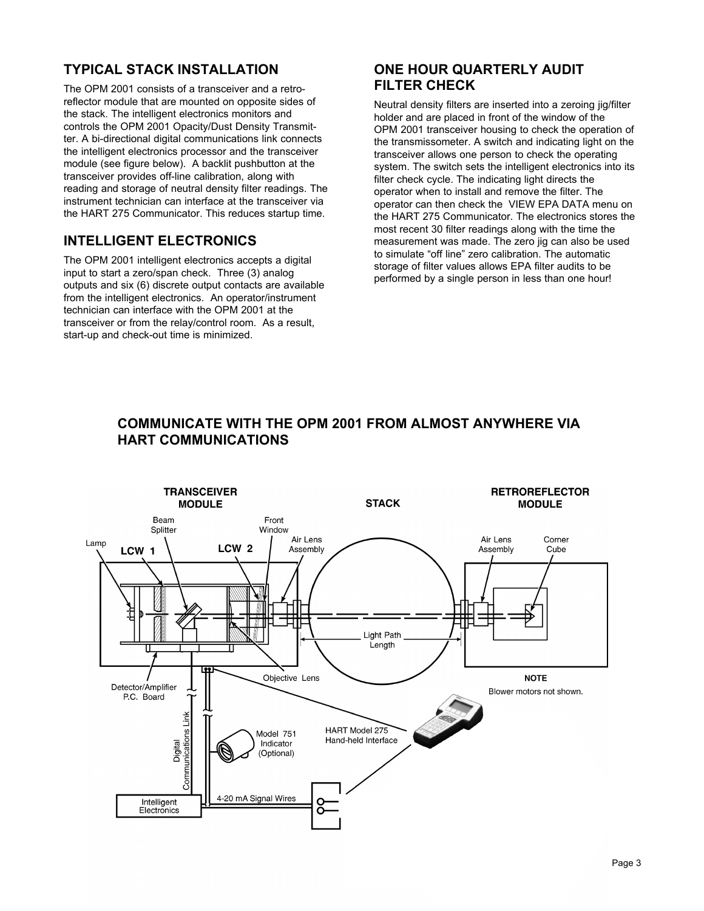## **TYPICAL STACK INSTALLATION**

The OPM 2001 consists of a transceiver and a retroreflector module that are mounted on opposite sides of the stack. The intelligent electronics monitors and controls the OPM 2001 Opacity/Dust Density Transmitter. A bi-directional digital communications link connects the intelligent electronics processor and the transceiver module (see figure below). A backlit pushbutton at the transceiver provides off-line calibration, along with reading and storage of neutral density filter readings. The instrument technician can interface at the transceiver via the HART 275 Communicator. This reduces startup time.

#### **INTELLIGENT ELECTRONICS**

The OPM 2001 intelligent electronics accepts a digital input to start a zero/span check. Three (3) analog outputs and six (6) discrete output contacts are available from the intelligent electronics. An operator/instrument technician can interface with the OPM 2001 at the transceiver or from the relay/control room. As a result, start-up and check-out time is minimized.

#### **ONE HOUR QUARTERLY AUDIT FILTER CHECK**

Neutral density filters are inserted into a zeroing jig/filter holder and are placed in front of the window of the OPM 2001 transceiver housing to check the operation of the transmissometer. A switch and indicating light on the transceiver allows one person to check the operating system. The switch sets the intelligent electronics into its filter check cycle. The indicating light directs the operator when to install and remove the filter. The operator can then check the VIEW EPA DATA menu on the HART 275 Communicator. The electronics stores the most recent 30 filter readings along with the time the measurement was made. The zero jig can also be used to simulate "off line" zero calibration. The automatic storage of filter values allows EPA filter audits to be performed by a single person in less than one hour!



#### **COMMUNICATE WITH THE OPM 2001 FROM ALMOST ANYWHERE VIA HART COMMUNICATIONS**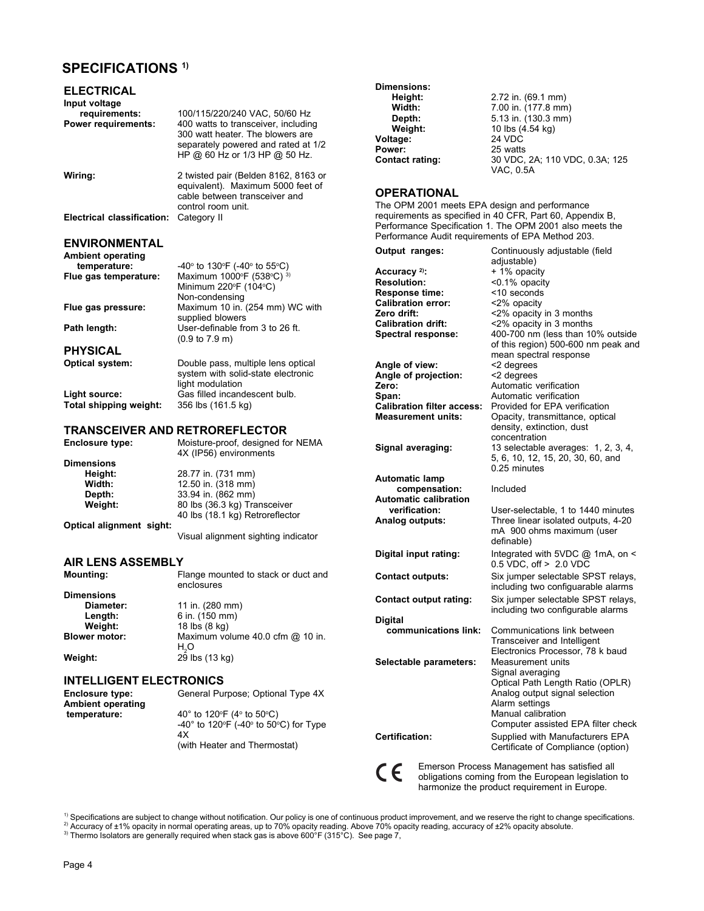#### **SPECIFICATIONS 1)**

| <b>ELECTRICAL</b><br>Input voltage<br>requirements: | 100/115/220/240 VAC, 50/60 Hz                                                                                                                   | Dimensions:<br>Height:<br>Width:                                    | 2.72 in. (69.1 mm)<br>7.00 in. (177.8 mm)                                                       |
|-----------------------------------------------------|-------------------------------------------------------------------------------------------------------------------------------------------------|---------------------------------------------------------------------|-------------------------------------------------------------------------------------------------|
| Power requirements:                                 | 400 watts to transceiver, including<br>300 watt heater. The blowers are<br>separately powered and rated at 1/2<br>HP @ 60 Hz or 1/3 HP @ 50 Hz. | Depth:<br>Weight:<br>Voltage:<br>Power:<br><b>Contact rating:</b>   | 5.13 in. (130.3 mm)<br>10 lbs (4.54 kg)<br>24 VDC<br>25 watts<br>30 VDC, 2A; 110 VDC, 0.3A; 125 |
| Wiring:                                             | 2 twisted pair (Belden 8162, 8163 or<br>equivalent). Maximum 5000 feet of<br>cable between transceiver and<br>control room unit.                | <b>OPERATIONAL</b><br>The OPM 2001 meets EPA design and performance | VAC, 0.5A<br>requirements as specified in 40 CFR, Part 60, Appendix B,                          |
| Electrical classification: Category II              |                                                                                                                                                 | Performance Audit requirements of EPA Method 203.                   | Performance Specification 1. The OPM 2001 also meets the                                        |
| ENVIRONMENTAL                                       |                                                                                                                                                 |                                                                     |                                                                                                 |
| Ambient operating                                   |                                                                                                                                                 | Output ranges:                                                      | Continuously adjustable (field<br>adjustable)                                                   |
| temperature:                                        | $-40^{\circ}$ to 130°F (-40° to 55°C)                                                                                                           | Accuracy $2$ :                                                      | + 1% opacity                                                                                    |
| Flue gas temperature:                               | Maximum 1000°F (538°C) 3)                                                                                                                       | <b>Resolution:</b>                                                  | <0.1% opacity                                                                                   |
|                                                     | Minimum 220°F (104°C)                                                                                                                           | <b>Response time:</b>                                               | <10 seconds                                                                                     |
|                                                     | Non-condensing                                                                                                                                  | <b>Calibration error:</b>                                           | <2% opacity                                                                                     |
| Flue gas pressure:                                  | Maximum 10 in. (254 mm) WC with                                                                                                                 | Zero drift:                                                         | <2% opacity in 3 months                                                                         |
| Path length:                                        | supplied blowers<br>User-definable from 3 to 26 ft.                                                                                             | <b>Calibration drift:</b>                                           | <2% opacity in 3 months                                                                         |
|                                                     | $(0.9 \text{ to } 7.9 \text{ m})$                                                                                                               | Spectral response:                                                  | 400-700 nm (less than 10% outside                                                               |
| PHYSICAL                                            |                                                                                                                                                 |                                                                     | of this region) 500-600 nm peak and                                                             |
|                                                     |                                                                                                                                                 |                                                                     | mean spectral response                                                                          |
| Optical system:                                     | Double pass, multiple lens optical                                                                                                              | Angle of view:                                                      | <2 degrees                                                                                      |
|                                                     | system with solid-state electronic<br>light modulation                                                                                          | Angle of projection:                                                | <2 degrees                                                                                      |
| Light source:                                       | Gas filled incandescent bulb.                                                                                                                   | Zero:                                                               | Automatic verification                                                                          |
| Total shipping weight:                              | 356 lbs (161.5 kg)                                                                                                                              | Span:<br><b>Calibration filter access:</b>                          | Automatic verification<br>Provided for EPA verification                                         |
|                                                     |                                                                                                                                                 | <b>Measurement units:</b>                                           | Opacity, transmittance, optical                                                                 |
|                                                     |                                                                                                                                                 |                                                                     | density, extinction, dust                                                                       |
|                                                     | <b>TRANSCEIVER AND RETROREFLECTOR</b>                                                                                                           |                                                                     | concentration                                                                                   |
| Enclosure type:                                     | Moisture-proof, designed for NEMA<br>4X (IP56) environments                                                                                     | Signal averaging:                                                   | 13 selectable averages: 1, 2, 3, 4,<br>5, 6, 10, 12, 15, 20, 30, 60, and                        |
| Dimensions                                          |                                                                                                                                                 |                                                                     | 0.25 minutes                                                                                    |
| Height:<br>Width:                                   | 28.77 in. (731 mm)<br>12.50 in. (318 mm)                                                                                                        | <b>Automatic lamp</b>                                               |                                                                                                 |
| Depth:                                              | 33.94 in. (862 mm)                                                                                                                              | compensation:                                                       | Included                                                                                        |
| Weight:                                             | 80 lbs (36.3 kg) Transceiver                                                                                                                    | <b>Automatic calibration</b>                                        |                                                                                                 |
|                                                     | 40 lbs (18.1 kg) Retroreflector                                                                                                                 | verification:                                                       | User-selectable, 1 to 1440 minutes                                                              |
| Optical alignment sight:                            |                                                                                                                                                 | Analog outputs:                                                     | Three linear isolated outputs, 4-20                                                             |
|                                                     | Visual alignment sighting indicator                                                                                                             |                                                                     | mA 900 ohms maximum (user<br>definable)                                                         |
| <b>AIR LENS ASSEMBLY</b>                            |                                                                                                                                                 | Digital input rating:                                               | Integrated with 5VDC @ 1mA, on <<br>$0.5$ VDC, off $> 2.0$ VDC                                  |
| Mounting:                                           | Flange mounted to stack or duct and<br>enclosures                                                                                               | <b>Contact outputs:</b>                                             | Six jumper selectable SPST relays,<br>including two configuarable alarms                        |
| Dimensions                                          |                                                                                                                                                 | <b>Contact output rating:</b>                                       | Six jumper selectable SPST relays,                                                              |
| Diameter:                                           | 11 in. (280 mm)                                                                                                                                 |                                                                     | including two configurable alarms                                                               |
| Length:                                             | 6 in. (150 mm)                                                                                                                                  | <b>Digital</b>                                                      |                                                                                                 |
| Weight:                                             | 18 lbs (8 kg)                                                                                                                                   | communications link:                                                | Communications link between                                                                     |
| <b>Blower motor:</b>                                | Maximum volume 40.0 cfm @ 10 in.                                                                                                                |                                                                     | Transceiver and Intelligent                                                                     |
|                                                     | H <sub>3</sub> O<br>29 lbs (13 kg)                                                                                                              |                                                                     | Electronics Processor, 78 k baud                                                                |
| Weight:                                             |                                                                                                                                                 | Selectable parameters:                                              | Measurement units                                                                               |
| <b>INTELLIGENT ELECTRONICS</b>                      |                                                                                                                                                 |                                                                     | Signal averaging<br>Optical Path Length Ratio (OPLR)                                            |
| Enclosure type:                                     | General Purpose; Optional Type 4X                                                                                                               |                                                                     | Analog output signal selection                                                                  |
| Ambient operating                                   |                                                                                                                                                 |                                                                     | Alarm settings                                                                                  |
| temperature:                                        | 40° to 120°F (4° to 50°C)                                                                                                                       |                                                                     | Manual calibration                                                                              |
|                                                     | -40 $^{\circ}$ to 120 $^{\circ}$ F (-40 $^{\circ}$ to 50 $^{\circ}$ C) for Type                                                                 |                                                                     | Computer assisted EPA filter check                                                              |
|                                                     | 4Х<br>(with Heater and Thermostat)                                                                                                              | Certification:                                                      | Supplied with Manufacturers EPA<br>Certificate of Compliance (option)                           |

 $c \in$ 

Emerson Process Management has satisfied all obligations coming from the European legislation to harmonize the product requirement in Europe.

<sup>1)</sup> Specifications are subject to change without notification. Our policy is one of continuous product improvement, and we reserve the right to change specifications.<br><sup>2)</sup> Accuracy of ±1% opacity in normal operating areas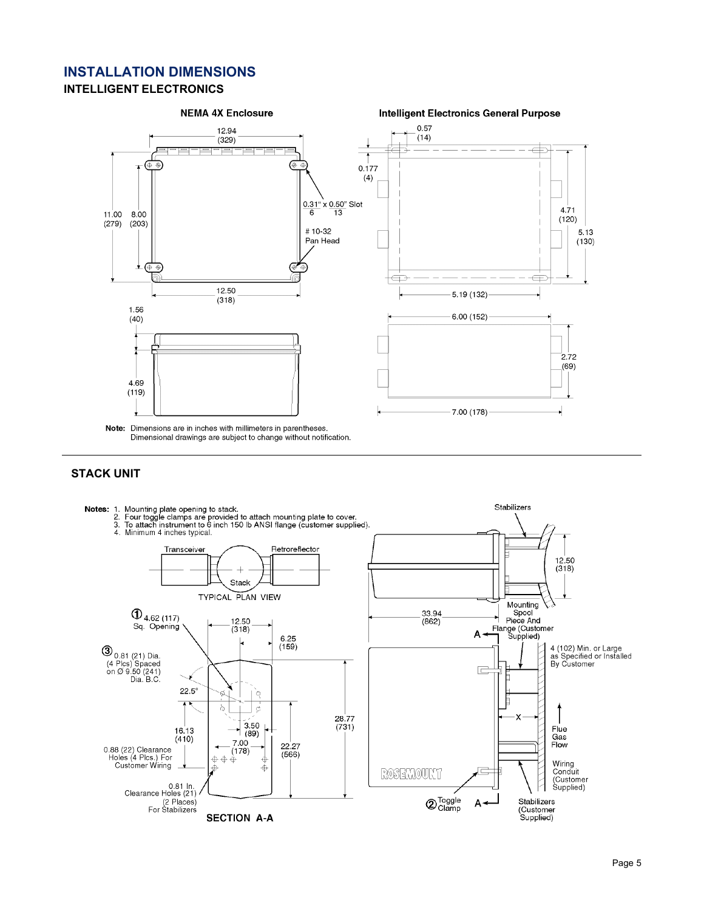#### **INSTALLATION DIMENSIONS INTELLIGENT ELECTRONICS**



#### **STACK UNIT**

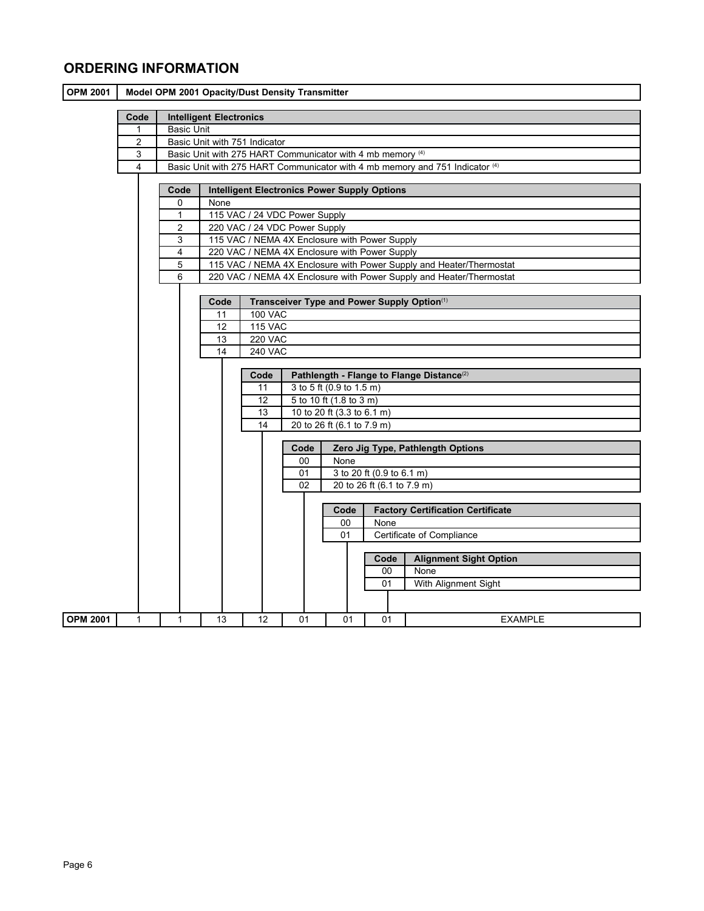## **ORDERING INFORMATION**

| <b>OPM 2001</b>                              | Model OPM 2001 Opacity/Dust Density Transmitter             |  |                                                                          |                                                                              |                                  |                |                                               |                            |  |      |                                                                     |  |
|----------------------------------------------|-------------------------------------------------------------|--|--------------------------------------------------------------------------|------------------------------------------------------------------------------|----------------------------------|----------------|-----------------------------------------------|----------------------------|--|------|---------------------------------------------------------------------|--|
|                                              | Code                                                        |  | <b>Intelligent Electronics</b>                                           |                                                                              |                                  |                |                                               |                            |  |      |                                                                     |  |
|                                              | $\mathbf 1$                                                 |  | <b>Basic Unit</b>                                                        |                                                                              |                                  |                |                                               |                            |  |      |                                                                     |  |
|                                              | $\overline{c}$                                              |  | Basic Unit with 751 Indicator                                            |                                                                              |                                  |                |                                               |                            |  |      |                                                                     |  |
|                                              | 3                                                           |  | Basic Unit with 275 HART Communicator with 4 mb memory (4)               |                                                                              |                                  |                |                                               |                            |  |      |                                                                     |  |
|                                              | 4                                                           |  |                                                                          | Basic Unit with 275 HART Communicator with 4 mb memory and 751 Indicator (4) |                                  |                |                                               |                            |  |      |                                                                     |  |
|                                              |                                                             |  |                                                                          |                                                                              |                                  |                |                                               |                            |  |      |                                                                     |  |
|                                              | <b>Intelligent Electronics Power Supply Options</b><br>Code |  |                                                                          |                                                                              |                                  |                |                                               |                            |  |      |                                                                     |  |
| 0<br>None<br>115 VAC / 24 VDC Power Supply   |                                                             |  |                                                                          |                                                                              |                                  |                |                                               |                            |  |      |                                                                     |  |
|                                              |                                                             |  | $\mathbf{1}$                                                             |                                                                              |                                  |                |                                               |                            |  |      |                                                                     |  |
|                                              |                                                             |  | $\overline{c}$                                                           |                                                                              |                                  |                | 220 VAC / 24 VDC Power Supply                 |                            |  |      |                                                                     |  |
|                                              |                                                             |  | 3                                                                        |                                                                              |                                  |                | 115 VAC / NEMA 4X Enclosure with Power Supply |                            |  |      |                                                                     |  |
|                                              |                                                             |  | 4                                                                        |                                                                              |                                  |                | 220 VAC / NEMA 4X Enclosure with Power Supply |                            |  |      |                                                                     |  |
|                                              |                                                             |  | 5                                                                        |                                                                              |                                  |                |                                               |                            |  |      | 115 VAC / NEMA 4X Enclosure with Power Supply and Heater/Thermostat |  |
|                                              |                                                             |  | 6<br>220 VAC / NEMA 4X Enclosure with Power Supply and Heater/Thermostat |                                                                              |                                  |                |                                               |                            |  |      |                                                                     |  |
|                                              |                                                             |  | Transceiver Type and Power Supply Option(1)<br>Code                      |                                                                              |                                  |                |                                               |                            |  |      |                                                                     |  |
|                                              |                                                             |  |                                                                          |                                                                              |                                  |                |                                               |                            |  |      |                                                                     |  |
| <b>100 VAC</b><br>11<br><b>115 VAC</b><br>12 |                                                             |  |                                                                          |                                                                              |                                  |                |                                               |                            |  |      |                                                                     |  |
|                                              |                                                             |  |                                                                          | 13                                                                           |                                  | <b>220 VAC</b> |                                               |                            |  |      |                                                                     |  |
|                                              |                                                             |  |                                                                          | 14                                                                           |                                  | <b>240 VAC</b> |                                               |                            |  |      |                                                                     |  |
|                                              |                                                             |  |                                                                          |                                                                              |                                  |                |                                               |                            |  |      |                                                                     |  |
|                                              |                                                             |  |                                                                          |                                                                              |                                  | Code           |                                               |                            |  |      | Pathlength - Flange to Flange Distance <sup>(2)</sup>               |  |
|                                              |                                                             |  |                                                                          |                                                                              |                                  | 11             |                                               | 3 to 5 ft (0.9 to 1.5 m)   |  |      |                                                                     |  |
|                                              |                                                             |  |                                                                          |                                                                              |                                  | 12             |                                               | 5 to 10 ft (1.8 to 3 m)    |  |      |                                                                     |  |
|                                              |                                                             |  |                                                                          |                                                                              |                                  | 13             |                                               | 10 to 20 ft (3.3 to 6.1 m) |  |      |                                                                     |  |
|                                              |                                                             |  |                                                                          |                                                                              | 14<br>20 to 26 ft (6.1 to 7.9 m) |                |                                               |                            |  |      |                                                                     |  |
|                                              |                                                             |  |                                                                          |                                                                              |                                  |                |                                               |                            |  |      |                                                                     |  |
|                                              |                                                             |  |                                                                          |                                                                              |                                  |                | Code                                          |                            |  |      | Zero Jig Type, Pathlength Options                                   |  |
|                                              |                                                             |  |                                                                          |                                                                              |                                  |                | 00                                            | None                       |  |      |                                                                     |  |
|                                              | 01<br>3 to 20 ft (0.9 to 6.1 m)                             |  |                                                                          |                                                                              |                                  |                |                                               |                            |  |      |                                                                     |  |
|                                              |                                                             |  | 20 to 26 ft (6.1 to 7.9 m)<br>02                                         |                                                                              |                                  |                |                                               |                            |  |      |                                                                     |  |
|                                              | <b>Factory Certification Certificate</b><br>Code            |  |                                                                          |                                                                              |                                  |                |                                               |                            |  |      |                                                                     |  |
| None<br>00                                   |                                                             |  |                                                                          |                                                                              |                                  |                |                                               |                            |  |      |                                                                     |  |
|                                              |                                                             |  |                                                                          | 01                                                                           |                                  |                | Certificate of Compliance                     |                            |  |      |                                                                     |  |
|                                              |                                                             |  |                                                                          |                                                                              |                                  |                |                                               |                            |  |      |                                                                     |  |
|                                              |                                                             |  |                                                                          |                                                                              |                                  |                |                                               |                            |  | Code | <b>Alignment Sight Option</b>                                       |  |
|                                              |                                                             |  |                                                                          |                                                                              |                                  |                |                                               |                            |  | 00   | None                                                                |  |
|                                              |                                                             |  |                                                                          |                                                                              |                                  |                |                                               |                            |  | 01   | With Alignment Sight                                                |  |
|                                              |                                                             |  |                                                                          |                                                                              |                                  |                |                                               |                            |  |      |                                                                     |  |
| <b>OPM 2001</b>                              | $\mathbf{1}$                                                |  | 1                                                                        | 13                                                                           |                                  | 12             | 01                                            | 01                         |  | 01   | <b>EXAMPLE</b>                                                      |  |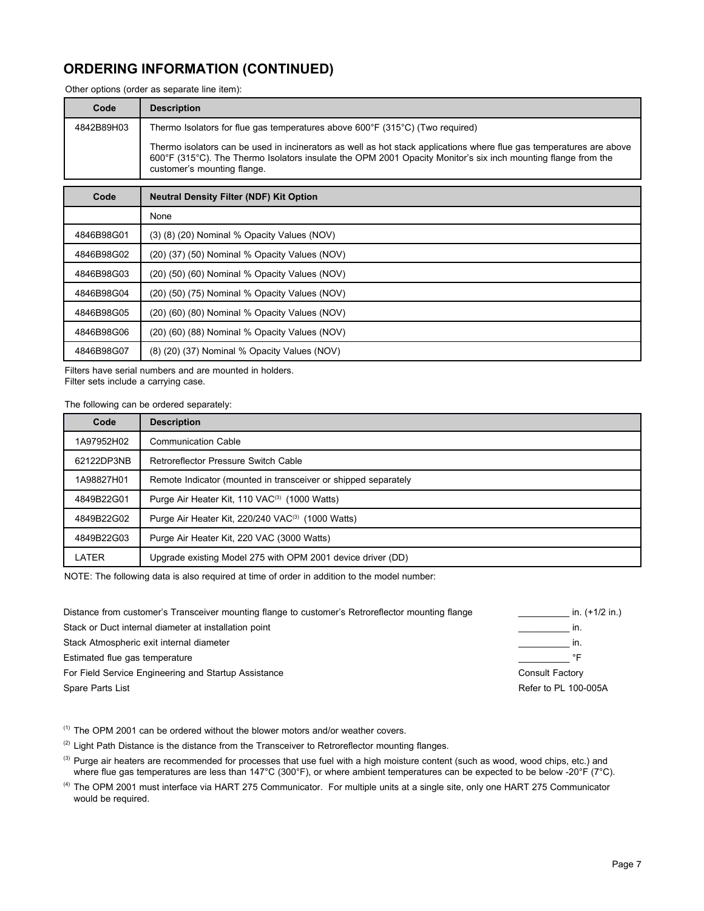## **ORDERING INFORMATION (CONTINUED)**

Other options (order as separate line item):

| Code       | <b>Description</b>                                                                                                                                                                                                                                                   |
|------------|----------------------------------------------------------------------------------------------------------------------------------------------------------------------------------------------------------------------------------------------------------------------|
| 4842B89H03 | Thermo Isolators for flue gas temperatures above $600^{\circ}F$ (315 $^{\circ}C$ ) (Two required)                                                                                                                                                                    |
|            | Thermo isolators can be used in incinerators as well as hot stack applications where flue gas temperatures are above<br>600°F (315°C). The Thermo Isolators insulate the OPM 2001 Opacity Monitor's six inch mounting flange from the<br>customer's mounting flange. |

| Code       | <b>Neutral Density Filter (NDF) Kit Option</b> |
|------------|------------------------------------------------|
|            | None                                           |
| 4846B98G01 | (3) (8) (20) Nominal % Opacity Values (NOV)    |
| 4846B98G02 | (20) (37) (50) Nominal % Opacity Values (NOV)  |
| 4846B98G03 | (20) (50) (60) Nominal % Opacity Values (NOV)  |
| 4846B98G04 | (20) (50) (75) Nominal % Opacity Values (NOV)  |
| 4846B98G05 | (20) (60) (80) Nominal % Opacity Values (NOV)  |
| 4846B98G06 | (20) (60) (88) Nominal % Opacity Values (NOV)  |
| 4846B98G07 | (8) (20) (37) Nominal % Opacity Values (NOV)   |

Filters have serial numbers and are mounted in holders. Filter sets include a carrying case.

The following can be ordered separately:

| Code       | <b>Description</b>                                             |
|------------|----------------------------------------------------------------|
| 1A97952H02 | <b>Communication Cable</b>                                     |
| 62122DP3NB | Retroreflector Pressure Switch Cable                           |
| 1A98827H01 | Remote Indicator (mounted in transceiver or shipped separately |
| 4849B22G01 | Purge Air Heater Kit, 110 VAC <sup>(3)</sup> (1000 Watts)      |
| 4849B22G02 | Purge Air Heater Kit, 220/240 VAC <sup>(3)</sup> (1000 Watts)  |
| 4849B22G03 | Purge Air Heater Kit, 220 VAC (3000 Watts)                     |
| LATER      | Upgrade existing Model 275 with OPM 2001 device driver (DD)    |

NOTE: The following data is also required at time of order in addition to the model number:

| Distance from customer's Transceiver mounting flange to customer's Retroreflector mounting flange | in. (+1/2 in.)       |
|---------------------------------------------------------------------------------------------------|----------------------|
| Stack or Duct internal diameter at installation point                                             | In.                  |
| Stack Atmospheric exit internal diameter                                                          | In.                  |
| Estimated flue gas temperature                                                                    | ∘⊏                   |
| For Field Service Engineering and Startup Assistance                                              | Consult Factory      |
| Spare Parts List                                                                                  | Refer to PL 100-005A |

 $(1)$  The OPM 2001 can be ordered without the blower motors and/or weather covers.

<sup>(2)</sup> Light Path Distance is the distance from the Transceiver to Retroreflector mounting flanges.

<sup>(3)</sup> Purge air heaters are recommended for processes that use fuel with a high moisture content (such as wood, wood chips, etc.) and where flue gas temperatures are less than 147°C (300°F), or where ambient temperatures can be expected to be below -20°F (7°C).

(4) The OPM 2001 must interface via HART 275 Communicator. For multiple units at a single site, only one HART 275 Communicator would be required.